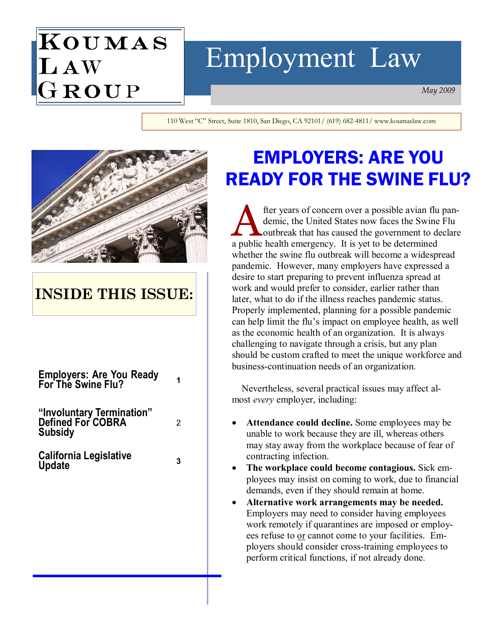# ${\bf K}$ oumas LAW<br>GROUP

# Employment Law

May 2009

110 West "C" Street, Suite 1810, San Diego, CA 92101/ (619) 682-4811/ www.koumaslaw.com



## INSIDE THIS ISSUE:

| Employers: Are You Ready<br>For The Swine Flu? |  |
|------------------------------------------------|--|
|------------------------------------------------|--|

"Involuntary Termination" Defined For COBRA Subsidy

California Legislative <sub>3</sub><br>Update

2

## EMPLOYERS: ARE YOU READY FOR THE SWINE FLU?

A fter years of concern over a possible avian flu pan-<br>demic, the United States now faces the Swine Flu<br>outbreak that has caused the government to declare demic, the United States now faces the Swine Flu a public health emergency. It is yet to be determined whether the swine flu outbreak will become a widespread pandemic. However, many employers have expressed a desire to start preparing to prevent influenza spread at work and would prefer to consider, earlier rather than later, what to do if the illness reaches pandemic status. Properly implemented, planning for a possible pandemic can help limit the flu's impact on employee health, as well as the economic health of an organization. It is always challenging to navigate through a crisis, but any plan should be custom crafted to meet the unique workforce and business-continuation needs of an organization.

 Nevertheless, several practical issues may affect almost every employer, including:

- Attendance could decline. Some employees may be unable to work because they are ill, whereas others may stay away from the workplace because of fear of contracting infection.
- The workplace could become contagious. Sick employees may insist on coming to work, due to financial demands, even if they should remain at home.
- Alternative work arrangements may be needed. Employers may need to consider having employees work remotely if quarantines are imposed or employees refuse to or cannot come to your facilities. Employers should consider cross-training employees to perform critical functions, if not already done.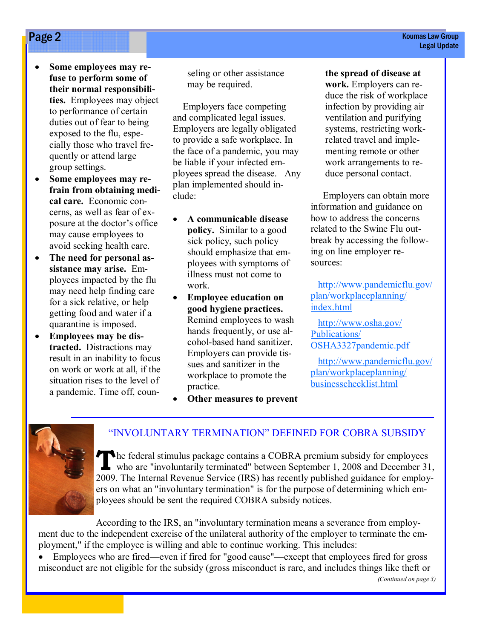- Some employees may refuse to perform some of their normal responsibilities. Employees may object to performance of certain duties out of fear to being exposed to the flu, especially those who travel frequently or attend large group settings.
- Some employees may refrain from obtaining medical care. Economic concerns, as well as fear of exposure at the doctor's office may cause employees to avoid seeking health care.
- The need for personal assistance may arise. Employees impacted by the flu may need help finding care for a sick relative, or help getting food and water if a quarantine is imposed.
- Employees may be distracted. Distractions may result in an inability to focus on work or work at all, if the situation rises to the level of a pandemic. Time off, coun-

seling or other assistance may be required.

 Employers face competing and complicated legal issues. Employers are legally obligated to provide a safe workplace. In the face of a pandemic, you may be liable if your infected employees spread the disease. Any plan implemented should include:

- A communicable disease policy. Similar to a good sick policy, such policy should emphasize that employees with symptoms of illness must not come to work.
- Employee education on good hygiene practices. Remind employees to wash hands frequently, or use alcohol-based hand sanitizer. Employers can provide tissues and sanitizer in the workplace to promote the practice.
- Other measures to prevent

the spread of disease at work. Employers can reduce the risk of workplace infection by providing air ventilation and purifying systems, restricting workrelated travel and implementing remote or other work arrangements to reduce personal contact.

 Employers can obtain more information and guidance on how to address the concerns related to the Swine Flu outbreak by accessing the following on line employer resources:

 http://www.pandemicflu.gov/ plan/workplaceplanning/ index.html

 http://www.osha.gov/ Publications/ OSHA3327pandemic.pdf

 http://www.pandemicflu.gov/ plan/workplaceplanning/ businesschecklist.html



#### "INVOLUNTARY TERMINATION" DEFINED FOR COBRA SUBSIDY

The federal stimulus package contains a COBRA premium subsidy for employees who are "involuntarily terminated" between September 1, 2008 and December 31, 2009. The Internal Revenue Service (IRS) has recently published guidance for employers on what an "involuntary termination" is for the purpose of determining which employees should be sent the required COBRA subsidy notices.

According to the IRS, an "involuntary termination means a severance from employment due to the independent exercise of the unilateral authority of the employer to terminate the employment," if the employee is willing and able to continue working. This includes:

• Employees who are fired—even if fired for "good cause"—except that employees fired for gross misconduct are not eligible for the subsidy (gross misconduct is rare, and includes things like theft or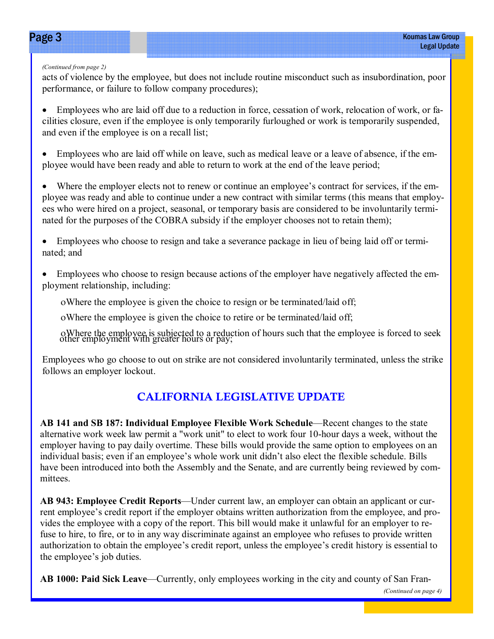#### (Continued from page 2)

acts of violence by the employee, but does not include routine misconduct such as insubordination, poor performance, or failure to follow company procedures);

• Employees who are laid off due to a reduction in force, cessation of work, relocation of work, or facilities closure, even if the employee is only temporarily furloughed or work is temporarily suspended, and even if the employee is on a recall list;

Employees who are laid off while on leave, such as medical leave or a leave of absence, if the employee would have been ready and able to return to work at the end of the leave period;

Where the employer elects not to renew or continue an employee's contract for services, if the employee was ready and able to continue under a new contract with similar terms (this means that employees who were hired on a project, seasonal, or temporary basis are considered to be involuntarily terminated for the purposes of the COBRA subsidy if the employer chooses not to retain them);

• Employees who choose to resign and take a severance package in lieu of being laid off or terminated; and

• Employees who choose to resign because actions of the employer have negatively affected the employment relationship, including:

ο Where the employee is given the choice to resign or be terminated/laid off;

ο Where the employee is given the choice to retire or be terminated/laid off;

<sup>ο</sup>Where the employee is subjected to a reduction of hours such that the employee is forced to seek other employment with greater hours or pay;

Employees who go choose to out on strike are not considered involuntarily terminated, unless the strike follows an employer lockout.

### CALIFORNIA LEGISLATIVE UPDATE

AB 141 and SB 187: Individual Employee Flexible Work Schedule—Recent changes to the state alternative work week law permit a "work unit" to elect to work four 10-hour days a week, without the employer having to pay daily overtime. These bills would provide the same option to employees on an individual basis; even if an employee's whole work unit didn't also elect the flexible schedule. Bills have been introduced into both the Assembly and the Senate, and are currently being reviewed by committees.

AB 943: Employee Credit Reports—Under current law, an employer can obtain an applicant or current employee's credit report if the employer obtains written authorization from the employee, and provides the employee with a copy of the report. This bill would make it unlawful for an employer to refuse to hire, to fire, or to in any way discriminate against an employee who refuses to provide written authorization to obtain the employee's credit report, unless the employee's credit history is essential to the employee's job duties.

AB 1000: Paid Sick Leave—Currently, only employees working in the city and county of San Fran-